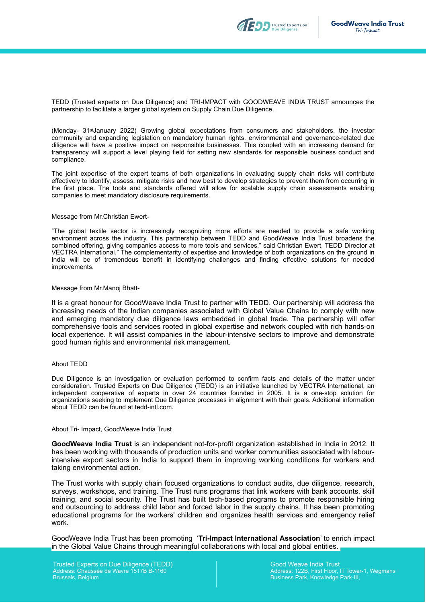

TEDD (Trusted experts on Due Diligence) and TRI-IMPACT with GOODWEAVE INDIA TRUST announces the partnership to facilitate a larger global system on Supply Chain Due Diligence.

(Monday- 31stJanuary 2022) Growing global expectations from consumers and stakeholders, the investor community and expanding legislation on mandatory human rights, environmental and governance-related due diligence will have a positive impact on responsible businesses. This coupled with an increasing demand for transparency will support a level playing field for setting new standards for responsible business conduct and compliance.

The joint expertise of the expert teams of both organizations in evaluating supply chain risks will contribute effectively to identify, assess, mitigate risks and how best to develop strategies to prevent them from occurring in the first place. The tools and standards offered will allow for scalable supply chain assessments enabling companies to meet mandatory disclosure requirements.

#### Message from Mr.Christian Ewert-

"The global textile sector is increasingly recognizing more efforts are needed to provide a safe working environment across the industry. This partnership between TEDD and GoodWeave India Trust broadens the combined offering, giving companies access to more tools and services," said Christian Ewert, TEDD Director at VECTRA International," The complementarity of expertise and knowledge of both organizations on the ground in India will be of tremendous benefit in identifying challenges and finding effective solutions for needed improvements.

#### Message from Mr.Manoj Bhatt-

It is a great honour for GoodWeave India Trust to partner with TEDD. Our partnership will address the increasing needs of the Indian companies associated with Global Value Chains to comply with new and emerging mandatory due diligence laws embedded in global trade. The partnership will offer comprehensive tools and services rooted in global expertise and network coupled with rich hands-on local experience. It will assist companies in the labour-intensive sectors to improve and demonstrate good human rights and environmental risk management.

#### About TEDD

Due Diligence is an investigation or evaluation performed to confirm facts and details of the matter under consideration. Trusted Experts on Due Diligence (TEDD) is an initiative launched by VECTRA International, an independent cooperative of experts in over 24 countries founded in 2005. It is a one-stop solution for organizations seeking to implement Due Diligence processes in alignment with their goals. Additional information about TEDD can be found at tedd-intl.com.

#### About Tri- Impact, GoodWeave India Trust

**GoodWeave India Trust** is an independent not-for-profit organization established in India in 2012. It has been working with thousands of production units and worker communities associated with labourintensive export sectors in India to support them in improving working conditions for workers and taking environmental action.

The Trust works with supply chain focused organizations to conduct audits, due diligence, research, surveys, workshops, and training. The Trust runs programs that link workers with bank accounts, skill training, and social security. The Trust has built tech-based programs to promote responsible hiring and outsourcing to address child labor and forced labor in the supply chains. It has been promoting educational programs for the workers' children and organizes health services and emergency relief work.

GoodWeave India Trust has been promoting '**Tri-Impact International Association**' to enrich impact in the Global Value Chains through meaningful collaborations with local and global entities.